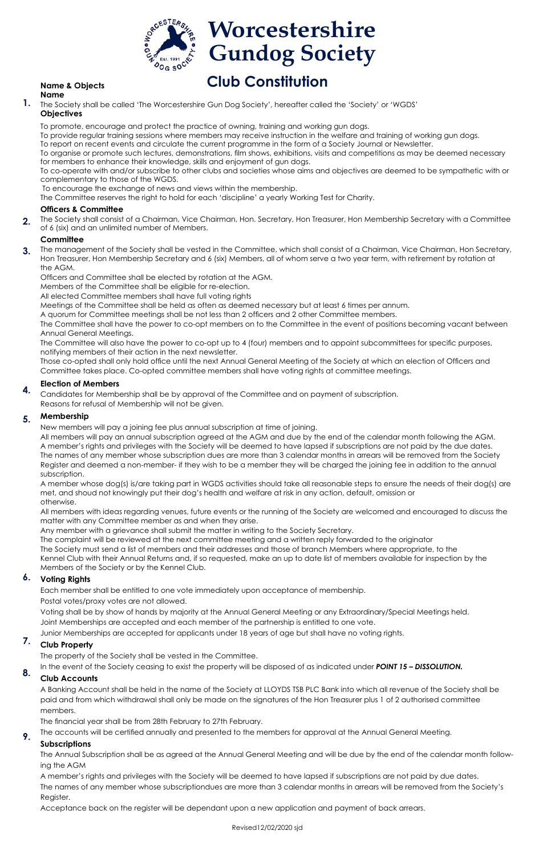

#### **Name & Objects Name**

**1.** The Society shall be called 'The Worcestershire Gun Dog Society', hereafter called the 'Society' or 'WGDS' **Objectives**

To promote, encourage and protect the practice of owning, training and working gun dogs.

To provide regular training sessions where members may receive instruction in the welfare and training of working gun dogs.

To report on recent events and circulate the current programme in the form of a Society Journal or Newsletter.

To organise or promote such lectures, demonstrations, film shows, exhibitions, visits and competitions as may be deemed necessary for members to enhance their knowledge, skills and enjoyment of gun dogs.

**2.** The Society shall consist of a Chairman, Vice Chairman, Hon. Secretary, Hon Treasurer, Hon Membership Secretary with a Committee of 6 (six) and an unlimited number of Members.

To co-operate with and/or subscribe to other clubs and societies whose aims and objectives are deemed to be sympathetic with or complementary to those of the WGDS.

To encourage the exchange of news and views within the membership.

The Committee reserves the right to hold for each 'discipline' a yearly Working Test for Charity.

### **Officers & Committee**

## **Committee**

Officers and Committee shall be elected by rotation at the AGM.

Members of the Committee shall be eligible for re-election.

All elected Committee members shall have full voting rights

Meetings of the Committee shall be held as often as deemed necessary but at least 6 times per annum.

A quorum for Committee meetings shall be not less than 2 officers and 2 other Committee members.

The Committee shall have the power to co-opt members on to the Committee in the event of positions becoming vacant between Annual General Meetings.

The Committee will also have the power to co-opt up to 4 (four) members and to appoint subcommittees for specific purposes, notifying members of their action in the next newsletter.

Those co-opted shall only hold office until the next Annual General Meeting of the Society at which an election of Officers and Committee takes place. Co-opted committee members shall have voting rights at committee meetings.

# **Election of Members**

New members will pay a joining fee plus annual subscription at time of joining.

All members will pay an annual subscription agreed at the AGM and due by the end of the calendar month following the AGM. A member's rights and privileges with the Society will be deemed to have lapsed if subscriptions are not paid by the due dates. The names of any member whose subscription dues are more than 3 calendar months in arrears will be removed from the Society Register and deemed a non-member- if they wish to be a member they will be charged the joining fee in addition to the annual subscription.

A member whose dog(s) is/are taking part in WGDS activities should take all reasonable steps to ensure the needs of their dog(s) are met, and shoud not knowingly put their dog's health and welfare at risk in any action, default, omission or otherwise.

The management of the Society shall be vested in the Committee, which shall consist of a Chairman, Vice Chairman, Hon Secretary, Hon Treasurer, Hon Membership Secretary and 6 (six) Members, all of whom serve a two year term, with retirement by rotation at the AGM. **3.**

All members with ideas regarding venues, future events or the running of the Society are welcomed and encouraged to discuss the matter with any Committee member as and when they arise.

Any member with a grievance shall submit the matter in writing to the Society Secretary.

The complaint will be reviewed at the next committee meeting and a written reply forwarded to the originator The Society must send a list of members and their addresses and those of branch Members where appropriate, to the Kennel Club with their Annual Returns and, if so requested, make an up to date list of members available for inspection by the Members of the Society or by the Kennel Club.

Candidates for Membership shall be by approval of the Committee and on payment of subscription. Reasons for refusal of Membership will not be given. **4.**

#### **Membership 5.**

Each member shall be entitled to one vote immediately upon acceptance of membership.

Postal votes/proxy votes are not allowed.

Voting shall be by show of hands by majority at the Annual General Meeting or any Extraordinary/Special Meetings held. Joint Memberships are accepted and each member of the partnership is entitled to one vote.

Junior Memberships are accepted for applicants under 18 years of age but shall have no voting rights.

The property of the Society shall be vested in the Committee.

In the event of the Society ceasing to exist the property will be disposed of as indicated under *POINT 15 – DISSOLUTION.* 

A Banking Account shall be held in the name of the Society at LLOYDS TSB PLC Bank into which all revenue of the Society shall be paid and from which withdrawal shall only be made on the signatures of the Hon Treasurer plus 1 of 2 authorised committee members.

#### **Voting Rights 6.**

The financial year shall be from 28th February to 27th February.

#### **Club Property 7.**

The accounts will be certified annually and presented to the members for approval at the Annual General Meeting.

# **Subscriptions**

#### **Club Accounts 8.**

The Annual Subscription shall be as agreed at the Annual General Meeting and will be due by the end of the calendar month following the AGM

A member's rights and privileges with the Society will be deemed to have lapsed if subscriptions are not paid by due dates.

The names of any member whose subscriptiondues are more than 3 calendar months in arrears will be removed from the Society's Register.

Acceptance back on the register will be dependant upon a new application and payment of back arrears.

**9.**

# **Club Constitution**

Revised12/02/2020 sjd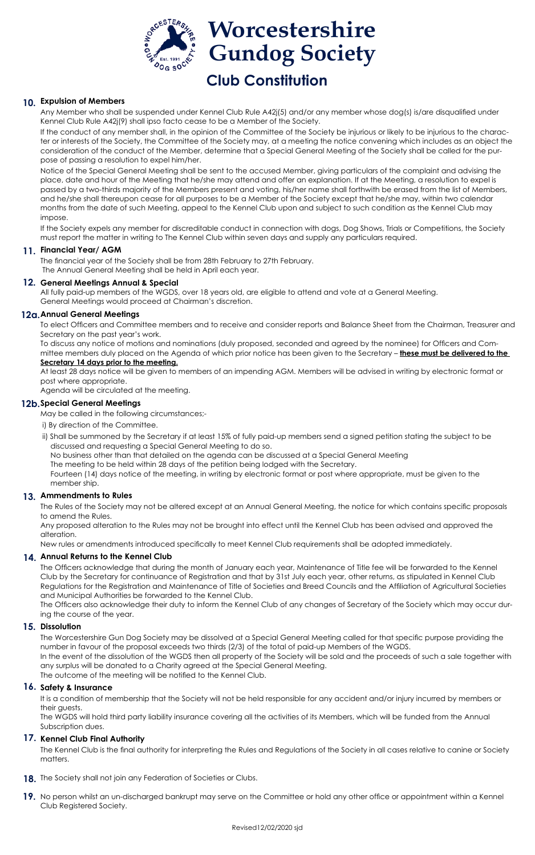# **10. Expulsion of Members**

Any Member who shall be suspended under Kennel Club Rule A42j(5) and/or any member whose dog(s) is/are disqualified under Kennel Club Rule A42j(9) shall ipso facto cease to be a Member of the Society.

If the conduct of any member shall, in the opinion of the Committee of the Society be injurious or likely to be injurious to the character or interests of the Society, the Committee of the Society may, at a meeting the notice convening which includes as an object the consideration of the conduct of the Member, determine that a Special General Meeting of the Society shall be called for the purpose of passing a resolution to expel him/her.

# **11. Financial Year/ AGM**

Notice of the Special General Meeting shall be sent to the accused Member, giving particulars of the complaint and advising the place, date and hour of the Meeting that he/she may attend and offer an explanation. If at the Meeting, a resolution to expel is passed by a two-thirds majority of the Members present and voting, his/her name shall forthwith be erased from the list of Members, and he/she shall thereupon cease for all purposes to be a Member of the Society except that he/she may, within two calendar months from the date of such Meeting, appeal to the Kennel Club upon and subject to such condition as the Kennel Club may impose.

If the Society expels any member for discreditable conduct in connection with dogs, Dog Shows, Trials or Competitions, the Society must report the matter in writing to The Kennel Club within seven days and supply any particulars required.

The financial year of the Society shall be from 28th February to 27th February. The Annual General Meeting shall be held in April each year.

All fully paid-up members of the WGDS, over 18 years old, are eligible to attend and vote at a General Meeting. General Meetings would proceed at Chairman's discretion.

To elect Officers and Committee members and to receive and consider reports and Balance Sheet from the Chairman, Treasurer and Secretary on the past year's work.

To discuss any notice of motions and nominations (duly proposed, seconded and agreed by the nominee) for Officers and Committee members duly placed on the Agenda of which prior notice has been given to the Secretary – **these must be delivered to the** 

#### **Secretary 14 days prior to the meeting.**

At least 28 days notice will be given to members of an impending AGM. Members will be advised in writing by electronic format or post where appropriate.

Agenda will be circulated at the meeting.

May be called in the following circumstances;-

- **18.** The Society shall not join any Federation of Societies or Clubs.
- 19. No person whilst an un-discharged bankrupt may serve on the Committee or hold any other office or appointment within a Kennel Club Registered Society.



- i) By direction of the Committee.
- ii) Shall be summoned by the Secretary if at least 15% of fully paid-up members send a signed petition stating the subject to be discussed and requesting a Special General Meeting to do so.

No business other than that detailed on the agenda can be discussed at a Special General Meeting

The meeting to be held within 28 days of the petition being lodged with the Secretary.

 Fourteen (14) days notice of the meeting, in writing by electronic format or post where appropriate, must be given to the member ship.

The Rules of the Society may not be altered except at an Annual General Meeting, the notice for which contains specific proposals to amend the Rules.

Any proposed alteration to the Rules may not be brought into effect until the Kennel Club has been advised and approved the alteration.

New rules or amendments introduced specifically to meet Kennel Club requirements shall be adopted immediately.

#### **General Meetings Annual & Special 12.**

### **Annual General Meetings 12a.**

The Officers acknowledge that during the month of January each year, Maintenance of Title fee will be forwarded to the Kennel Club by the Secretary for continuance of Registration and that by 31st July each year, other returns, as stipulated in Kennel Club Regulations for the Registration and Maintenance of Title of Societies and Breed Councils and the Affiliation of Agricultural Societies and Municipal Authorities be forwarded to the Kennel Club.

## **Special General Meetings 12b.**

The Officers also acknowledge their duty to inform the Kennel Club of any changes of Secretary of the Society which may occur during the course of the year.

## **Ammendments to Rules 13.**

The Worcestershire Gun Dog Society may be dissolved at a Special General Meeting called for that specific purpose providing the number in favour of the proposal exceeds two thirds (2/3) of the total of paid-up Members of the WGDS. In the event of the dissolution of the WGDS then all property of the Society will be sold and the proceeds of such a sale together with any surplus will be donated to a Charity agreed at the Special General Meeting. The outcome of the meeting will be notified to the Kennel Club.

# 16. Safety & Insurance

## **Annual Returns to the Kennel Club 14.**

It is a condition of membership that the Society will not be held responsible for any accident and/or injury incurred by members or their guests.

# **Dissolution 15.**

The WGDS will hold third party liability insurance covering all the activities of its Members, which will be funded from the Annual Subscription dues.

The Kennel Club is the final authority for interpreting the Rules and Regulations of the Society in all cases relative to canine or Society matters.

# **Kennel Club Final Authority 17.**